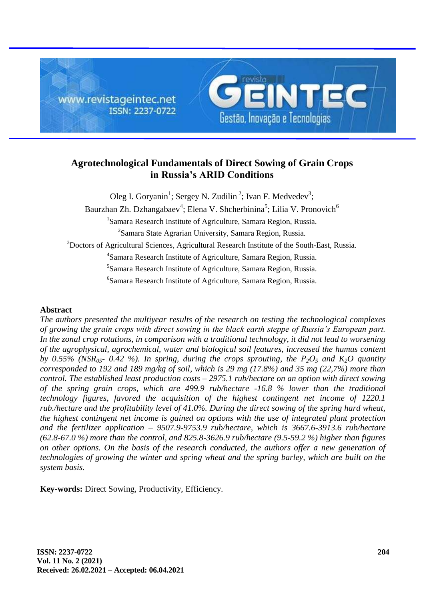

# **Agrotechnological Fundamentals of Direct Sowing of Grain Crops in Russia's ARID Conditions**

Oleg I. Goryanin<sup>1</sup>; Sergey N. Zudilin<sup>2</sup>; Ivan F. Medvedev<sup>3</sup>; Baurzhan Zh. Dzhangabaev<sup>4</sup>; Elena V. Shcherbinina<sup>5</sup>; Lilia V. Pronovich<sup>6</sup> <sup>1</sup>Samara Research Institute of Agriculture, Samara Region, Russia. <sup>2</sup>Samara State Agrarian University, Samara Region, Russia. <sup>3</sup>Doctors of Agricultural Sciences, Agricultural Research Institute of the South-East, Russia. 4 Samara Research Institute of Agriculture, Samara Region, Russia. 5 Samara Research Institute of Agriculture, Samara Region, Russia. 6 Samara Research Institute of Agriculture, Samara Region, Russia.

## **Abstract**

*The authors presented the multiyear results of the research on testing the technological complexes of growing the grain crops with direct sowing in the black earth steppe of Russia's European part. In the zonal crop rotations, in comparison with a traditional technology, it did not lead to worsening of the agrophysical, agrochemical, water and biological soil features, increased the humus content by* 0.55% ( $NSR<sub>05</sub>$ <sup>-</sup> 0.42 %). In spring, during the crops sprouting, the  $P<sub>2</sub>O<sub>5</sub>$  and  $K<sub>2</sub>O$  quantity *corresponded to 192 and 189 mg/kg of soil, which is 29 mg (17.8%) and 35 mg (22,7%) more than control. The established least production costs – 2975.1 rub/hectare on an option with direct sowing of the spring grain crops, which are 499.9 rub/hectare -16.8 % lower than the traditional technology figures, favored the acquisition of the highest contingent net income of 1220.1 rub./hectare and the profitability level of 41.0%. During the direct sowing of the spring hard wheat, the highest contingent net income is gained on options with the use of integrated plant protection and the fertilizer application – 9507.9-9753.9 rub/hectare, which is 3667.6-3913.6 rub/hectare (62.8-67.0 %) more than the control, and 825.8-3626.9 rub/hectare (9.5-59.2 %) higher than figures on other options. On the basis of the research conducted, the authors offer a new generation of technologies of growing the winter and spring wheat and the spring barley, which are built on the system basis.*

**Key-words:** Direct Sowing, Productivity, Efficiency.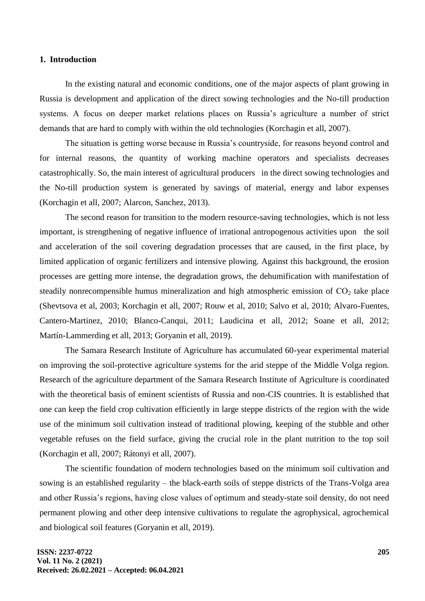#### **1. Introduction**

In the existing natural and economic conditions, one of the major aspects of plant growing in Russia is development and application of the direct sowing technologies and the No-till production systems. A focus on deeper market relations places on Russia's agriculture a number of strict demands that are hard to comply with within the old technologies (Korchagin et all, 2007).

The situation is getting worse because in Russia's countryside, for reasons beyond control and for internal reasons, the quantity of working machine operators and specialists decreases catastrophically. So, the main interest of agricultural producers in the direct sowing technologies and the No-till production system is generated by savings of material, energy and labor expenses (Korchagin et all, 2007; Alarcon, Sanchez, 2013).

The second reason for transition to the modern resource-saving technologies, which is not less important, is strengthening of negative influence of irrational antropogenous activities upon the soil and acceleration of the soil covering degradation processes that are caused, in the first place, by limited application of organic fertilizers and intensive plowing. Against this background, the erosion processes are getting more intense, the degradation grows, the dehumification with manifestation of steadily nonrecompensible humus mineralization and high atmospheric emission of  $CO<sub>2</sub>$  take place (Shevtsova et al, 2003; Korchagin et all, 2007; Rouw et al, 2010; Salvo et al, 2010; Alvaro-Fuentes, Cantero-Martinez, 2010; Blanco-Canqui, 2011; Laudicina et all, 2012; Soane et all, 2012; Martín-Lammerding et all, 2013; Goryanin et all, 2019).

The Samara Research Institute of Agriculture has accumulated 60-year experimental material on improving the soil-protective agriculture systems for the arid steppe of the Middle Volga region. Research of the agriculture department of the Samara Research Institute of Agriculture is coordinated with the theoretical basis of eminent scientists of Russia and non-CIS countries. It is established that one can keep the field crop cultivation efficiently in large steppe districts of the region with the wide use of the minimum soil cultivation instead of traditional plowing, keeping of the stubble and other vegetable refuses on the field surface, giving the crucial role in the plant nutrition to the top soil (Korchagin et all, 2007; Rátonyi et all, 2007).

The scientific foundation of modern technologies based on the minimum soil cultivation and sowing is an established regularity – the black-earth soils of steppe districts of the Trans-Volga area and other Russia's regions, having close values of optimum and steady-state soil density, do not need permanent plowing and other deep intensive cultivations to regulate the agrophysical, agrochemical and biological soil features (Goryanin et all, 2019).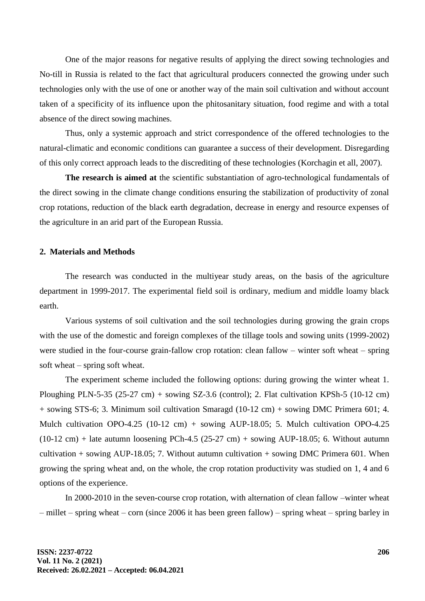One of the major reasons for negative results of applying the direct sowing technologies and No-till in Russia is related to the fact that agricultural producers connected the growing under such technologies only with the use of one or another way of the main soil cultivation and without account taken of a specificity of its influence upon the phitosanitary situation, food regime and with a total absence of the direct sowing machines.

Thus, only a systemic approach and strict correspondence of the offered technologies to the natural-climatic and economic conditions can guarantee a success of their development. Disregarding of this only correct approach leads to the discrediting of these technologies (Korchagin et all, 2007).

**The research is aimed at** the scientific substantiation of agro-technological fundamentals of the direct sowing in the climate change conditions ensuring the stabilization of productivity of zonal crop rotations, reduction of the black earth degradation, decrease in energy and resource expenses of the agriculture in an arid part of the European Russia.

### **2. Materials and Methods**

The research was conducted in the multiyear study areas, on the basis of the agriculture department in 1999-2017. The experimental field soil is ordinary, medium and middle loamy black earth.

Various systems of soil cultivation and the soil technologies during growing the grain crops with the use of the domestic and foreign complexes of the tillage tools and sowing units (1999-2002) were studied in the four-course grain-fallow crop rotation: clean fallow – winter soft wheat – spring soft wheat – spring soft wheat.

The experiment scheme included the following options: during growing the winter wheat 1. Ploughing PLN-5-35 (25-27 cm) + sowing SZ-3.6 (control); 2. Flat cultivation KPSh-5 (10-12 cm) + sowing STS-6; 3. Minimum soil cultivation Smaragd (10-12 cm) + sowing DMC Primera 601; 4. Mulch cultivation OPO-4.25 (10-12 cm) + sowing AUP-18.05; 5. Mulch cultivation OPO-4.25  $(10-12 \text{ cm})$  + late autumn loosening PCh-4.5 (25-27 cm) + sowing AUP-18.05; 6. Without autumn cultivation + sowing AUP-18.05; 7. Without autumn cultivation + sowing DMC Primera 601. When growing the spring wheat and, on the whole, the crop rotation productivity was studied on 1, 4 and 6 options of the experience.

In 2000-2010 in the seven-course crop rotation, with alternation of clean fallow –winter wheat – millet – spring wheat – corn (since 2006 it has been green fallow) – spring wheat – spring barley in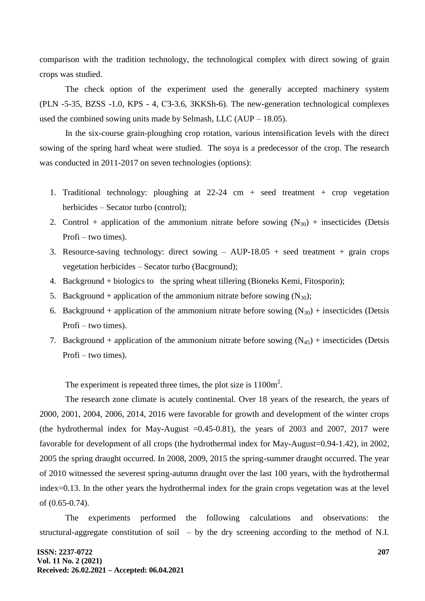comparison with the tradition technology, the technological complex with direct sowing of grain crops was studied.

The check option of the experiment used the generally accepted machinery system (PLN -5-35, BZSS -1.0, KPS - 4, СЗ-3.6, 3KKSh-6). The new-generation technological complexes used the combined sowing units made by Selmash, LLC (AUP – 18.05).

In the six-course grain-ploughing crop rotation, various intensification levels with the direct sowing of the spring hard wheat were studied. The soya is a predecessor of the crop. The research was conducted in 2011-2017 on seven technologies (options):

- 1. Traditional technology: ploughing at 22-24 cm + seed treatment + crop vegetation herbicides – Secator turbo (control);
- 2. Control + application of the ammonium nitrate before sowing  $(N_{30})$  + insecticides (Detsis Profi – two times).
- 3. Resource-saving technology: direct sowing AUP-18.05 + seed treatment + grain crops vegetation herbicides – Secator turbo (Bacground);
- 4. Background + biologics to the spring wheat tillering (Bioneks Kemi, Fitosporin);
- 5. Background + application of the ammonium nitrate before sowing  $(N_{30})$ ;
- 6. Background + application of the ammonium nitrate before sowing  $(N_{30})$  + insecticides (Detsis Profi – two times).
- 7. Background + application of the ammonium nitrate before sowing  $(N_{45})$  + insecticides (Detsis Profi – two times).

The experiment is repeated three times, the plot size is  $1100m^2$ .

The research zone climate is acutely continental. Over 18 years of the research, the years of 2000, 2001, 2004, 2006, 2014, 2016 were favorable for growth and development of the winter crops (the hydrothermal index for May-August  $=0.45-0.81$ ), the years of 2003 and 2007, 2017 were favorable for development of all crops (the hydrothermal index for May-August=0.94-1.42), in 2002, 2005 the spring draught occurred. In 2008, 2009, 2015 the spring-summer draught occurred. The year of 2010 witnessed the severest spring-autumn draught over the last 100 years, with the hydrothermal index=0.13. In the other years the hydrothermal index for the grain crops vegetation was at the level of (0.65-0.74).

The experiments performed the following calculations and observations: the structural-aggregate constitution of soil – by the dry screening according to the method of N.I.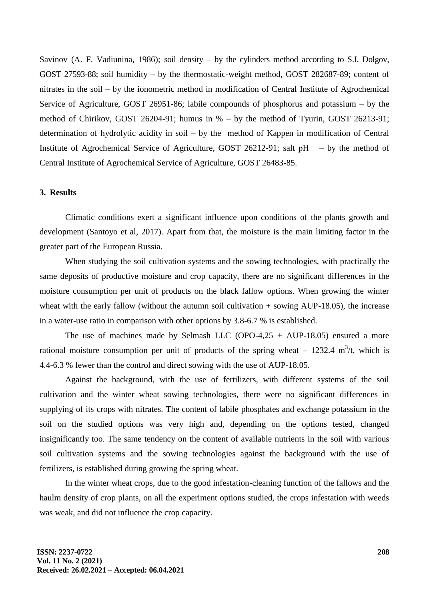Savinov (A. F. Vadiunina, 1986); soil density – by the cylinders method according to S.I. Dolgov, GOST 27593-88; soil humidity – by the thermostatic-weight method, GOST 282687-89; content of nitrates in the soil – by the ionometric method in modification of Central Institute of Agrochemical Service of Agriculture, GOST 26951-86; labile compounds of phosphorus and potassium – by the method of Chirikov, GOST 26204-91; humus in % – by the method of Tyurin, GOST 26213-91; determination of hydrolytic acidity in soil – by the method of Kappen in modification of Central Institute of Agrochemical Service of Agriculture, GOST 26212-91; salt  $pH - by$  the method of Central Institute of Agrochemical Service of Agriculture, GOST 26483-85.

## **3. Results**

Climatic conditions exert a significant influence upon conditions of the plants growth and development (Santoyo et al, 2017). Apart from that, the moisture is the main limiting factor in the greater part of the European Russia.

When studying the soil cultivation systems and the sowing technologies, with practically the same deposits of productive moisture and crop capacity, there are no significant differences in the moisture consumption per unit of products on the black fallow options. When growing the winter wheat with the early fallow (without the autumn soil cultivation  $+$  sowing AUP-18.05), the increase in a water-use ratio in comparison with other options by 3.8-6.7 % is established.

The use of machines made by Selmash LLC (OPO-4,25 + AUP-18.05) ensured a more rational moisture consumption per unit of products of the spring wheat  $-1232.4 \text{ m}^3$ /t, which is 4.4-6.3 % fewer than the control and direct sowing with the use of AUP-18.05.

Against the background, with the use of fertilizers, with different systems of the soil cultivation and the winter wheat sowing technologies, there were no significant differences in supplying of its crops with nitrates. The content of labile phosphates and exchange potassium in the soil on the studied options was very high and, depending on the options tested, changed insignificantly too. The same tendency on the content of available nutrients in the soil with various soil cultivation systems and the sowing technologies against the background with the use of fertilizers, is established during growing the spring wheat.

In the winter wheat crops, due to the good infestation-cleaning function of the fallows and the haulm density of crop plants, on all the experiment options studied, the crops infestation with weeds was weak, and did not influence the crop capacity.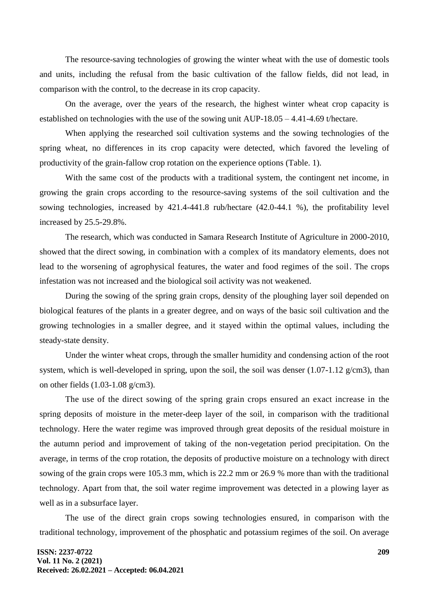The resource-saving technologies of growing the winter wheat with the use of domestic tools and units, including the refusal from the basic cultivation of the fallow fields, did not lead, in comparison with the control, to the decrease in its crop capacity.

On the average, over the years of the research, the highest winter wheat crop capacity is established on technologies with the use of the sowing unit AUP-18.05 – 4.41-4.69 t/hectare.

When applying the researched soil cultivation systems and the sowing technologies of the spring wheat, no differences in its crop capacity were detected, which favored the leveling of productivity of the grain-fallow crop rotation on the experience options (Table. 1).

With the same cost of the products with a traditional system, the contingent net income, in growing the grain crops according to the resource-saving systems of the soil cultivation and the sowing technologies, increased by 421.4-441.8 rub/hectare (42.0-44.1 %), the profitability level increased by 25.5-29.8%.

The research, which was conducted in Samara Research Institute of Agriculture in 2000-2010, showed that the direct sowing, in combination with a complex of its mandatory elements, does not lead to the worsening of agrophysical features, the water and food regimes of the soil. The crops infestation was not increased and the biological soil activity was not weakened.

During the sowing of the spring grain crops, density of the ploughing layer soil depended on biological features of the plants in a greater degree, and on ways of the basic soil cultivation and the growing technologies in a smaller degree, and it stayed within the optimal values, including the steady-state density.

Under the winter wheat crops, through the smaller humidity and condensing action of the root system, which is well-developed in spring, upon the soil, the soil was denser  $(1.07-1.12 \text{ g/cm}^3)$ , than on other fields (1.03-1.08 g/cm3).

The use of the direct sowing of the spring grain crops ensured an exact increase in the spring deposits of moisture in the meter-deep layer of the soil, in comparison with the traditional technology. Here the water regime was improved through great deposits of the residual moisture in the autumn period and improvement of taking of the non-vegetation period precipitation. On the average, in terms of the crop rotation, the deposits of productive moisture on a technology with direct sowing of the grain crops were 105.3 mm, which is 22.2 mm or 26.9 % more than with the traditional technology. Apart from that, the soil water regime improvement was detected in a plowing layer as well as in a subsurface layer.

The use of the direct grain crops sowing technologies ensured, in comparison with the traditional technology, improvement of the phosphatic and potassium regimes of the soil. On average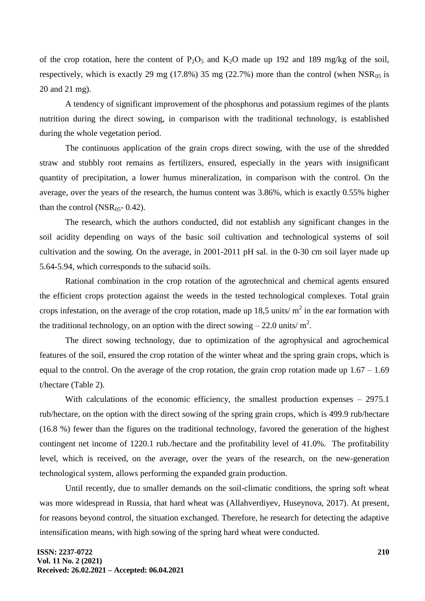of the crop rotation, here the content of  $P_2O_5$  and  $K_2O$  made up 192 and 189 mg/kg of the soil, respectively, which is exactly 29 mg (17.8%) 35 mg (22.7%) more than the control (when  $NSR_{05}$  is 20 and 21 mg).

A tendency of significant improvement of the phosphorus and potassium regimes of the plants nutrition during the direct sowing, in comparison with the traditional technology, is established during the whole vegetation period.

The continuous application of the grain crops direct sowing, with the use of the shredded straw and stubbly root remains as fertilizers, ensured, especially in the years with insignificant quantity of precipitation, a lower humus mineralization, in comparison with the control. On the average, over the years of the research, the humus content was 3.86%, which is exactly 0.55% higher than the control (NSR<sub>05</sub>- 0.42).

The research, which the authors conducted, did not establish any significant changes in the soil acidity depending on ways of the basic soil cultivation and technological systems of soil cultivation and the sowing. On the average, in 2001-2011 pH sal. in the 0-30 cm soil layer made up 5.64-5.94, which corresponds to the subacid soils.

Rational combination in the crop rotation of the agrotechnical and chemical agents ensured the efficient crops protection against the weeds in the tested technological complexes. Total grain crops infestation, on the average of the crop rotation, made up 18,5 units/ $m^2$  in the ear formation with the traditional technology, on an option with the direct sowing  $-22.0$  units/m<sup>2</sup>.

The direct sowing technology, due to optimization of the agrophysical and agrochemical features of the soil, ensured the crop rotation of the winter wheat and the spring grain crops, which is equal to the control. On the average of the crop rotation, the grain crop rotation made up  $1.67 - 1.69$ t/hectare (Table 2).

With calculations of the economic efficiency, the smallest production expenses – 2975.1 rub/hectare, on the option with the direct sowing of the spring grain crops, which is 499.9 rub/hectare (16.8 %) fewer than the figures on the traditional technology, favored the generation of the highest contingent net income of 1220.1 rub./hectare and the profitability level of 41.0%. The profitability level, which is received, on the average, over the years of the research, on the new-generation technological system, allows performing the expanded grain production.

Until recently, due to smaller demands on the soil-climatic conditions, the spring soft wheat was more widespread in Russia, that hard wheat was (Allahverdiyev, Huseynova, 2017). At present, for reasons beyond control, the situation exchanged. Therefore, he research for detecting the adaptive intensification means, with high sowing of the spring hard wheat were conducted.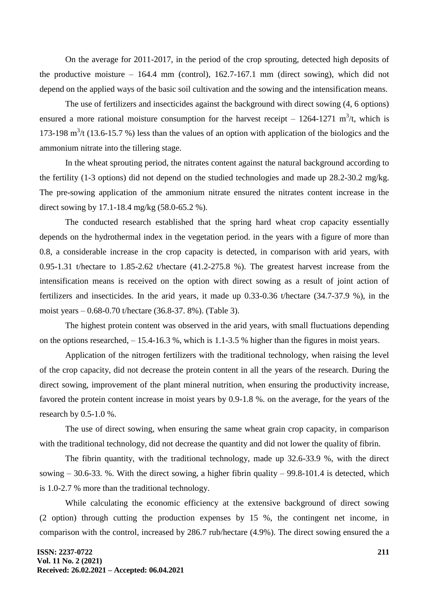On the average for 2011-2017, in the period of the crop sprouting, detected high deposits of the productive moisture – 164.4 mm (control), 162.7-167.1 mm (direct sowing), which did not depend on the applied ways of the basic soil cultivation and the sowing and the intensification means.

The use of fertilizers and insecticides against the background with direct sowing (4, 6 options) ensured a more rational moisture consumption for the harvest receipt  $-1264-1271$  m<sup>3</sup>/t, which is 173-198  $m<sup>3</sup>/t$  (13.6-15.7 %) less than the values of an option with application of the biologics and the ammonium nitrate into the tillering stage.

In the wheat sprouting period, the nitrates content against the natural background according to the fertility (1-3 options) did not depend on the studied technologies and made up 28.2-30.2 mg/kg. The pre-sowing application of the ammonium nitrate ensured the nitrates content increase in the direct sowing by 17.1-18.4 mg/kg (58.0-65.2 %).

The conducted research established that the spring hard wheat crop capacity essentially depends on the hydrothermal index in the vegetation period. in the years with a figure of more than 0.8, a considerable increase in the crop capacity is detected, in comparison with arid years, with 0.95-1.31 t/hectare to 1.85-2.62 t/hectare (41.2-275.8 %). The greatest harvest increase from the intensification means is received on the option with direct sowing as a result of joint action of fertilizers and insecticides. In the arid years, it made up 0.33-0.36 t/hectare (34.7-37.9 %), in the moist years – 0.68-0.70 t/hectare (36.8-37. 8%). (Table 3).

The highest protein content was observed in the arid years, with small fluctuations depending on the options researched, – 15.4-16.3 %, which is 1.1-3.5 % higher than the figures in moist years.

Application of the nitrogen fertilizers with the traditional technology, when raising the level of the crop capacity, did not decrease the protein content in all the years of the research. During the direct sowing, improvement of the plant mineral nutrition, when ensuring the productivity increase, favored the protein content increase in moist years by 0.9-1.8 %. on the average, for the years of the research by 0.5-1.0 %.

The use of direct sowing, when ensuring the same wheat grain crop capacity, in comparison with the traditional technology, did not decrease the quantity and did not lower the quality of fibrin.

The fibrin quantity, with the traditional technology, made up 32.6-33.9 %, with the direct sowing  $-30.6-33$ . %. With the direct sowing, a higher fibrin quality  $-99.8-101.4$  is detected, which is 1.0-2.7 % more than the traditional technology.

While calculating the economic efficiency at the extensive background of direct sowing (2 option) through cutting the production expenses by 15 %, the contingent net income, in comparison with the control, increased by 286.7 rub/hectare (4.9%). The direct sowing ensured the a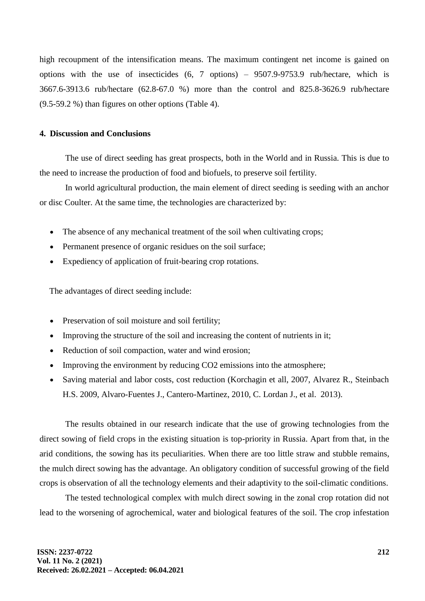high recoupment of the intensification means. The maximum contingent net income is gained on options with the use of insecticides (6, 7 options) – 9507.9-9753.9 rub/hectare, which is 3667.6-3913.6 rub/hectare (62.8-67.0 %) more than the control and 825.8-3626.9 rub/hectare (9.5-59.2 %) than figures on other options (Table 4).

## **4. Discussion and Conclusions**

The use of direct seeding has great prospects, both in the World and in Russia. This is due to the need to increase the production of food and biofuels, to preserve soil fertility.

In world agricultural production, the main element of direct seeding is seeding with an anchor or disc Coulter. At the same time, the technologies are characterized by:

- The absence of any mechanical treatment of the soil when cultivating crops;
- Permanent presence of organic residues on the soil surface;
- Expediency of application of fruit-bearing crop rotations.

The advantages of direct seeding include:

- Preservation of soil moisture and soil fertility;
- Improving the structure of the soil and increasing the content of nutrients in it;
- Reduction of soil compaction, water and wind erosion;
- Improving the environment by reducing CO2 emissions into the atmosphere;
- Saving material and labor costs, cost reduction (Korchagin et all, 2007, Alvarez R., Steinbach H.S. 2009, Alvaro-Fuentes J., Cantero-Martinez, 2010, C. Lordan J., et al. 2013).

The results obtained in our research indicate that the use of growing technologies from the direct sowing of field crops in the existing situation is top-priority in Russia. Apart from that, in the arid conditions, the sowing has its peculiarities. When there are too little straw and stubble remains, the mulch direct sowing has the advantage. An obligatory condition of successful growing of the field crops is observation of all the technology elements and their adaptivity to the soil-climatic conditions.

The tested technological complex with mulch direct sowing in the zonal crop rotation did not lead to the worsening of agrochemical, water and biological features of the soil. The crop infestation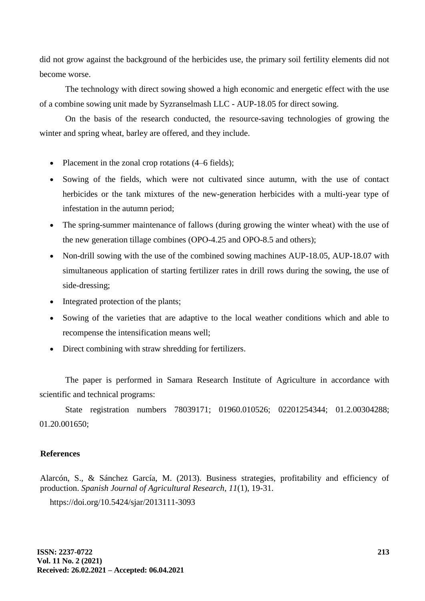did not grow against the background of the herbicides use, the primary soil fertility elements did not become worse.

The technology with direct sowing showed a high economic and energetic effect with the use of a combine sowing unit made by Syzranselmash LLC - AUP-18.05 for direct sowing.

On the basis of the research conducted, the resource-saving technologies of growing the winter and spring wheat, barley are offered, and they include.

- Placement in the zonal crop rotations (4–6 fields);
- Sowing of the fields, which were not cultivated since autumn, with the use of contact herbicides or the tank mixtures of the new-generation herbicides with a multi-year type of infestation in the autumn period;
- The spring-summer maintenance of fallows (during growing the winter wheat) with the use of the new generation tillage combines (ОPО-4.25 and ОPО-8.5 and others);
- Non-drill sowing with the use of the combined sowing machines AUP-18.05, AUP-18.07 with simultaneous application of starting fertilizer rates in drill rows during the sowing, the use of side-dressing;
- Integrated protection of the plants;
- Sowing of the varieties that are adaptive to the local weather conditions which and able to recompense the intensification means well;
- Direct combining with straw shredding for fertilizers.

The paper is performed in Samara Research Institute of Agriculture in accordance with scientific and technical programs:

State registration numbers 78039171; 01960.010526; 02201254344; 01.2.00304288; 01.20.001650;

## **References**

Alarcón, S., & Sánchez García, M. (2013). Business strategies, profitability and efficiency of production. *Spanish Journal of Agricultural Research, 11*(1), 19-31.

https://doi.org/10.5424/sjar/2013111-3093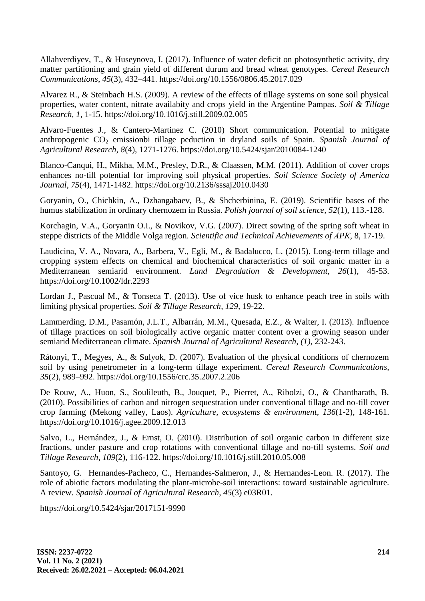Allahverdiyev, T., & Huseynova, I. (2017). Influence of water deficit on photosynthetic activity, dry matter partitioning and grain yield of different durum and bread wheat genotypes. *Cereal Research Communications, 45*(3), 432–441. https://doi.org/10.1556/0806.45.2017.029

Alvarez R., & Steinbach H.S. (2009). A review of the effects of tillage systems on sone soil physical properties, water content, nitrate availabity and crops yield in the Argentine Pampas. *Soil & Tillage Research, 1,* 1-15. https://doi.org/10.1016/j.still.2009.02.005

Alvaro-Fuentes J., & Cantero-Martinez C. (2010) Short communication. Potential to mitigate anthropogenic CO<sub>2</sub> emissionbi tillage peduction in dryland soils of Spain. *Spanish Journal of Agricultural Research, 8*(4), 1271-1276. https://doi.org/10.5424/sjar/2010084-1240

Blanco-Canqui, H., Mikha, M.M., Presley, D.R., & Claassen, M.M. (2011). Addition of cover crops enhances no-till potential for improving soil physical properties. *Soil Science Society of America Journal, 75*(4), 1471-1482. https://doi.org/10.2136/sssaj2010.0430

Goryanin, O., Chichkin, A., Dzhangabaev, B., & Shcherbinina, E. (2019). Scientific bases of the humus stabilization in ordinary chernozem in Russia. *Polish journal of soil science, 52*(1), 113.-128.

Korchagin, V.А., Goryanin O.I., & Novikov, V.G. (2007). Direct sowing of the spring soft wheat in steppe districts of the Middle Volga region. *Scientific and Technical Achievements of АPК,* 8, 17-19.

Laudicina, V. A., Novara, A., Barbera, V., Egli, M., & Badalucco, L. (2015). Long-term tillage and cropping system effects on chemical and biochemical characteristics of soil organic matter in a Mediterranean semiarid environment. *Land Degradation & Development, 26*(1), 45-53. https://doi.org/10.1002/ldr.2293

Lordan J., Pascual M., & Tonseca T. (2013). Use of vice husk to enhance peach tree in soils with limiting physical properties. *Soil & Tillage Research, 129,* 19-22.

Lammerding, D.M., Pasamón, J.L.T., Albarrán, M.M., Quesada, E.Z., & Walter, I. (2013). Influence of tillage practices on soil biologically active organic matter content over a growing season under semiarid Mediterranean climate. *Spanish Journal of Agricultural Research, (1),* 232-243.

Rátonyi, T., Megyes, A., & Sulyok, D. (2007). Evaluation of the physical conditions of chernozem soil by using penetrometer in a long-term tillage experiment. *Cereal Research Communications, 35*(2), 989–992. https://doi.org/10.1556/crc.35.2007.2.206

De Rouw, A., Huon, S., Soulileuth, B., Jouquet, P., Pierret, A., Ribolzi, O., & Chantharath, B. (2010). Possibilities of carbon and nitrogen sequestration under conventional tillage and no-till cover crop farming (Mekong valley, Laos). *Agriculture, ecosystems & environment, 136*(1-2), 148-161. https://doi.org/10.1016/j.agee.2009.12.013

Salvo, L., Hernández, J., & Ernst, O. (2010). Distribution of soil organic carbon in different size fractions, under pasture and crop rotations with conventional tillage and no-till systems. *Soil and Tillage Research, 109*(2), 116-122. https://doi.org/10.1016/j.still.2010.05.008

Santoyo, G. Hernandes-Pacheco, C., Hernandes-Salmeron, J., & Hernandes-Leon. R. (2017). The role of abiotic factors modulating the plant-microbe-soil interactions: toward sustainable agriculture. A review. *Spanish Journal of Agricultural Research, 45*(3) e03R01.

https://doi.org/10.5424/sjar/2017151-9990